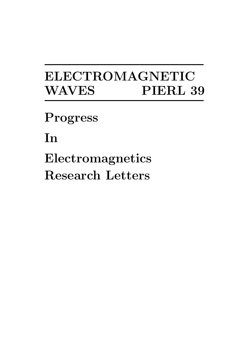# ELECTROMAGNETIC WAVES PIERL 39

Progress

In

Electromagnetics Research Letters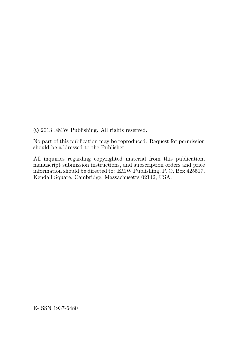°c 2013 EMW Publishing. All rights reserved.

No part of this publication may be reproduced. Request for permission should be addressed to the Publisher.

All inquiries regarding copyrighted material from this publication, manuscript submission instructions, and subscription orders and price information should be directed to: EMW Publishing, P. O. Box 425517, Kendall Square, Cambridge, Massachusetts 02142, USA.

E-ISSN 1937-6480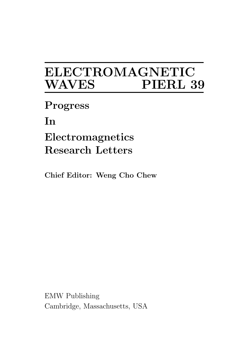## ELECTROMAGNETIC PIERL 39

Progress

In

Electromagnetics Research Letters

Chief Editor: Weng Cho Chew

EMW Publishing Cambridge, Massachusetts, USA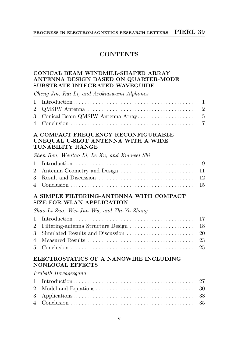## **CONTENTS**

## CONICAL BEAM WINDMILL-SHAPED ARRAY ANTENNA DESIGN BASED ON QUARTER-MODE SUBSTRATE INTEGRATED WAVEGUIDE

Cheng Jin, Rui Li, and Arokiaswami Alphones

#### A COMPACT FREQUENCY RECONFIGURABLE UNEQUAL U-SLOT ANTENNA WITH A WIDE TUNABILITY RANGE

Zhen Ren, Wentao Li, Le Xu, and Xiaowei Shi

#### A SIMPLE FILTERING-ANTENNA WITH COMPACT SIZE FOR WLAN APPLICATION

Shao-Li Zuo, Wei-Jun Wu, and Zhi-Ya Zhang

## ELECTROSTATICS OF A NANOWIRE INCLUDING NONLOCAL EFFECTS

Prabath Hewageegana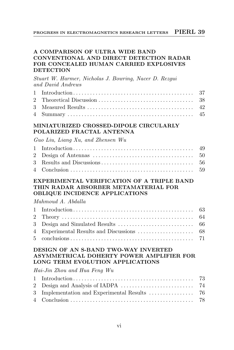## A COMPARISON OF ULTRA WIDE BAND CONVENTIONAL AND DIRECT DETECTION RADAR FOR CONCEALED HUMAN CARRIED EXPLOSIVES **DETECTION**

Stuart W. Harmer, Nicholas J. Bowring, Nacer D. Rezgui and David Andrews

## MINIATURIZED CROSSED-DIPOLE CIRCULARLY POLARIZED FRACTAL ANTENNA

Guo Liu, Liang Xu, and Zhensen Wu

#### EXPERIMENTAL VERIFICATION OF A TRIPLE BAND THIN RADAR ABSORBER METAMATERIAL FOR OBLIQUE INCIDENCE APPLICATIONS

### Mahmoud A. Abdalla

## DESIGN OF AN S-BAND TWO-WAY INVERTED ASYMMETRICAL DOHERTY POWER AMPLIFIER FOR LONG TERM EVOLUTION APPLICATIONS

Hai-Jin Zhou and Hua Feng Wu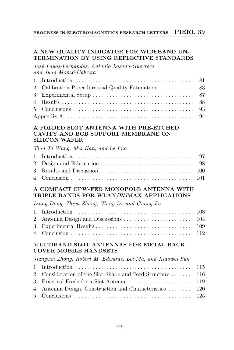## A NEW QUALITY INDICATOR FOR WIDEBAND UN-TERMINATION BY USING REFLECTIVE STANDARDS

José Fayos-Fernández, Antonio Lozano-Guerrero and Juan Monz´o-Cabrera

## A FOLDED SLOT ANTENNA WITH PRE-ETCHED CAVITY AND BCB SUPPORT MEMBRANE ON SILICON WAFER

Tian Xi Wang, Mei Han, and Le Luo

## A COMPACT CPW-FED MONOPOLE ANTENNA WITH TRIPLE BANDS FOR WLAN/WiMAX APPLICATIONS

Liang Dong, Zhiya Zhang, Wang Li, and Guang Fu

## MULTIBAND SLOT ANTENNAS FOR METAL BACK COVER MOBILE HANDSETS

Jiangwei Zhong, Robert M. Edwards, Lei Ma, and Xiaowei Sun

| 2 Consideration of the Slot Shape and Feed Structure  116 |  |
|-----------------------------------------------------------|--|
|                                                           |  |
| 4 Antenna Design, Construction and Characteristics  120   |  |
|                                                           |  |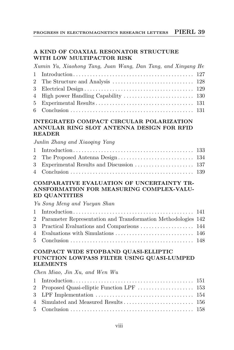## A KIND OF COAXIAL RESONATOR STRUCTURE WITH LOW MULTIPACTOR RISK

| Xumin Yu, Xiaohong Tang, Juan Wang, Dan Tang, and Xinyang He |  |
|--------------------------------------------------------------|--|
|                                                              |  |
|                                                              |  |
|                                                              |  |
|                                                              |  |
|                                                              |  |
|                                                              |  |

## INTEGRATED COMPACT CIRCULAR POLARIZATION ANNULAR RING SLOT ANTENNA DESIGN FOR RFID READER

## Junlin Zhang and Xiaoqing Yang

## COMPARATIVE EVALUATION OF UNCERTAINTY TR-ANSFORMATION FOR MEASURING COMPLEX-VALU-ED QUANTITIES

Yu Song Meng and Yueyan Shan

| 2 Parameter Representation and Transformation Methodologies 142 |  |
|-----------------------------------------------------------------|--|
| 3 Practical Evaluations and Comparisons  144                    |  |
|                                                                 |  |
|                                                                 |  |

## COMPACT WIDE STOPBAND QUASI-ELLIPTIC FUNCTION LOWPASS FILTER USING QUASI-LUMPED ELEMENTS

Chen Miao, Jin Xu, and Wen Wu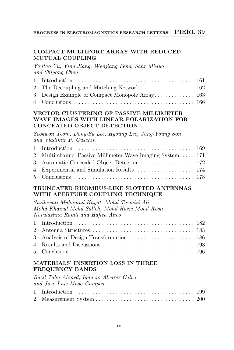#### PROGRESS IN ELECTROMAGNETICS RESEARCH LETTERS PIERL 39

## COMPACT MULTIPORT ARRAY WITH REDUCED MUTUAL COUPLING

Yantao Yu, Ying Jiang, Wenjiang Feng, Sahr Mbayo and Shiyong Chen

#### VECTOR CLUSTERING OF PASSIVE MILLIMETER WAVE IMAGES WITH LINEAR POLARIZATION FOR CONCEALED OBJECT DETECTION

Seokwon Yeom, Dong-Su Lee, Hyoung Lee, Jung-Young Son and Vladimir P. Guschin

| 2 Multi-channel Passive Millimeter Wave Imaging System 171 |  |
|------------------------------------------------------------|--|
|                                                            |  |
|                                                            |  |
|                                                            |  |

## TRUNCATED RHOMBUS-LIKE SLOTTED ANTENNAS WITH APERTURE COUPLING TECHNIQUE

Suzilawati Muhamud-Kayat, Mohd Tarmizi Ali Mohd Khairul Mohd Salleh, Mohd Hazri Mohd Rusli Nurulazlina Ramli and Hafiza Alias

## MATERIALS' INSERTION LOSS IN THREE FREQUENCY BANDS

Bazil Taha Ahmed, Ignacio Alvarez Calvo and José Luis Masa Campos